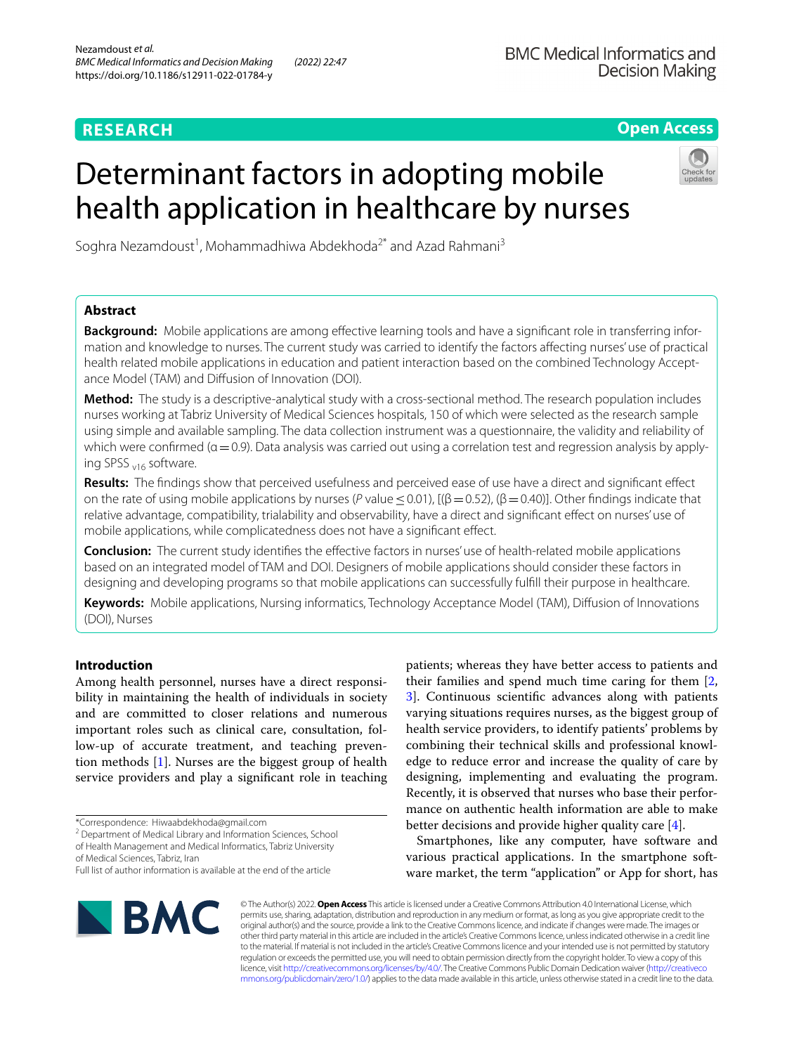# **RESEARCH**

# **Open Access**

# Determinant factors in adopting mobile health application in healthcare by nurses



Soghra Nezamdoust<sup>1</sup>, Mohammadhiwa Abdekhoda<sup>2\*</sup> and Azad Rahmani<sup>3</sup>

# **Abstract**

**Background:** Mobile applications are among efective learning tools and have a signifcant role in transferring information and knowledge to nurses. The current study was carried to identify the factors afecting nurses' use of practical health related mobile applications in education and patient interaction based on the combined Technology Acceptance Model (TAM) and Diffusion of Innovation (DOI).

**Method:** The study is a descriptive-analytical study with a cross-sectional method. The research population includes nurses working at Tabriz University of Medical Sciences hospitals, 150 of which were selected as the research sample using simple and available sampling. The data collection instrument was a questionnaire, the validity and reliability of which were confirmed ( $\alpha$  = 0.9). Data analysis was carried out using a correlation test and regression analysis by applying SPSS <sub>v16</sub> software.

**Results:** The fndings show that perceived usefulness and perceived ease of use have a direct and signifcant efect on the rate of using mobile applications by nurses (*P* value  $\leq$  0.01), [( $\beta$  = 0.52), ( $\beta$  = 0.40)]. Other findings indicate that relative advantage, compatibility, trialability and observability, have a direct and signifcant efect on nurses' use of mobile applications, while complicatedness does not have a signifcant efect.

**Conclusion:** The current study identifes the efective factors in nurses' use of health-related mobile applications based on an integrated model of TAM and DOI. Designers of mobile applications should consider these factors in designing and developing programs so that mobile applications can successfully fulfll their purpose in healthcare.

**Keywords:** Mobile applications, Nursing informatics, Technology Acceptance Model (TAM), Difusion of Innovations (DOI), Nurses

# **Introduction**

Among health personnel, nurses have a direct responsibility in maintaining the health of individuals in society and are committed to closer relations and numerous important roles such as clinical care, consultation, follow-up of accurate treatment, and teaching prevention methods [\[1\]](#page-8-0). Nurses are the biggest group of health service providers and play a signifcant role in teaching

<sup>2</sup> Department of Medical Library and Information Sciences, School of Health Management and Medical Informatics, Tabriz University

of Medical Sciences, Tabriz, Iran

patients; whereas they have better access to patients and their families and spend much time caring for them [\[2](#page-8-1), [3\]](#page-8-2). Continuous scientifc advances along with patients varying situations requires nurses, as the biggest group of health service providers, to identify patients' problems by combining their technical skills and professional knowledge to reduce error and increase the quality of care by designing, implementing and evaluating the program. Recently, it is observed that nurses who base their performance on authentic health information are able to make better decisions and provide higher quality care [\[4\]](#page-8-3).

Smartphones, like any computer, have software and various practical applications. In the smartphone software market, the term "application" or App for short, has



© The Author(s) 2022. **Open Access** This article is licensed under a Creative Commons Attribution 4.0 International License, which permits use, sharing, adaptation, distribution and reproduction in any medium or format, as long as you give appropriate credit to the original author(s) and the source, provide a link to the Creative Commons licence, and indicate if changes were made. The images or other third party material in this article are included in the article's Creative Commons licence, unless indicated otherwise in a credit line to the material. If material is not included in the article's Creative Commons licence and your intended use is not permitted by statutory regulation or exceeds the permitted use, you will need to obtain permission directly from the copyright holder. To view a copy of this licence, visit [http://creativecommons.org/licenses/by/4.0/.](http://creativecommons.org/licenses/by/4.0/) The Creative Commons Public Domain Dedication waiver ([http://creativeco](http://creativecommons.org/publicdomain/zero/1.0/) [mmons.org/publicdomain/zero/1.0/](http://creativecommons.org/publicdomain/zero/1.0/)) applies to the data made available in this article, unless otherwise stated in a credit line to the data.

<sup>\*</sup>Correspondence: Hiwaabdekhoda@gmail.com

Full list of author information is available at the end of the article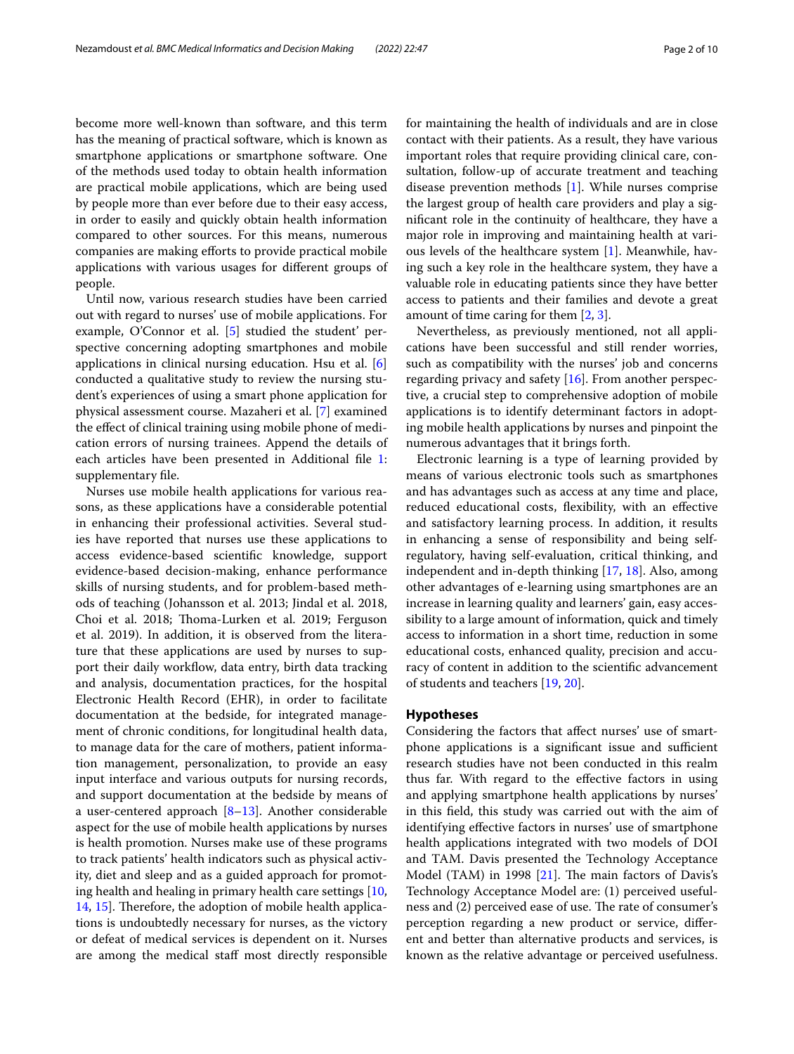become more well-known than software, and this term has the meaning of practical software, which is known as smartphone applications or smartphone software. One of the methods used today to obtain health information are practical mobile applications, which are being used by people more than ever before due to their easy access, in order to easily and quickly obtain health information compared to other sources. For this means, numerous companies are making efforts to provide practical mobile applications with various usages for diferent groups of people.

Until now, various research studies have been carried out with regard to nurses' use of mobile applications. For example, O'Connor et al. [\[5\]](#page-8-4) studied the student' perspective concerning adopting smartphones and mobile applications in clinical nursing education. Hsu et al. [\[6](#page-8-5)] conducted a qualitative study to review the nursing student's experiences of using a smart phone application for physical assessment course. Mazaheri et al. [[7\]](#page-8-6) examined the efect of clinical training using mobile phone of medication errors of nursing trainees. Append the details of each articles have been presented in Additional file [1](#page-8-7): supplementary fle.

Nurses use mobile health applications for various reasons, as these applications have a considerable potential in enhancing their professional activities. Several studies have reported that nurses use these applications to access evidence-based scientifc knowledge, support evidence-based decision-making, enhance performance skills of nursing students, and for problem-based methods of teaching (Johansson et al. 2013; Jindal et al. 2018, Choi et al. 2018; Thoma-Lurken et al. 2019; Ferguson et al. 2019). In addition, it is observed from the literature that these applications are used by nurses to support their daily workflow, data entry, birth data tracking and analysis, documentation practices, for the hospital Electronic Health Record (EHR), in order to facilitate documentation at the bedside, for integrated management of chronic conditions, for longitudinal health data, to manage data for the care of mothers, patient information management, personalization, to provide an easy input interface and various outputs for nursing records, and support documentation at the bedside by means of a user-centered approach  $[8-13]$  $[8-13]$  $[8-13]$ . Another considerable aspect for the use of mobile health applications by nurses is health promotion. Nurses make use of these programs to track patients' health indicators such as physical activity, diet and sleep and as a guided approach for promoting health and healing in primary health care settings [\[10](#page-8-10), [14,](#page-9-0) [15](#page-9-1)]. Therefore, the adoption of mobile health applications is undoubtedly necessary for nurses, as the victory or defeat of medical services is dependent on it. Nurses are among the medical staff most directly responsible for maintaining the health of individuals and are in close contact with their patients. As a result, they have various important roles that require providing clinical care, consultation, follow-up of accurate treatment and teaching disease prevention methods [\[1](#page-8-0)]. While nurses comprise the largest group of health care providers and play a signifcant role in the continuity of healthcare, they have a major role in improving and maintaining health at various levels of the healthcare system [\[1](#page-8-0)]. Meanwhile, having such a key role in the healthcare system, they have a valuable role in educating patients since they have better access to patients and their families and devote a great amount of time caring for them [[2,](#page-8-1) [3](#page-8-2)].

Nevertheless, as previously mentioned, not all applications have been successful and still render worries, such as compatibility with the nurses' job and concerns regarding privacy and safety [\[16](#page-9-2)]. From another perspective, a crucial step to comprehensive adoption of mobile applications is to identify determinant factors in adopting mobile health applications by nurses and pinpoint the numerous advantages that it brings forth.

Electronic learning is a type of learning provided by means of various electronic tools such as smartphones and has advantages such as access at any time and place, reduced educational costs, fexibility, with an efective and satisfactory learning process. In addition, it results in enhancing a sense of responsibility and being selfregulatory, having self-evaluation, critical thinking, and independent and in-depth thinking [[17,](#page-9-3) [18](#page-9-4)]. Also, among other advantages of e-learning using smartphones are an increase in learning quality and learners' gain, easy accessibility to a large amount of information, quick and timely access to information in a short time, reduction in some educational costs, enhanced quality, precision and accuracy of content in addition to the scientifc advancement of students and teachers [[19,](#page-9-5) [20](#page-9-6)].

## **Hypotheses**

Considering the factors that afect nurses' use of smartphone applications is a significant issue and sufficient research studies have not been conducted in this realm thus far. With regard to the efective factors in using and applying smartphone health applications by nurses' in this feld, this study was carried out with the aim of identifying effective factors in nurses' use of smartphone health applications integrated with two models of DOI and TAM. Davis presented the Technology Acceptance Model (TAM) in 1998  $[21]$  $[21]$ . The main factors of Davis's Technology Acceptance Model are: (1) perceived usefulness and (2) perceived ease of use. The rate of consumer's perception regarding a new product or service, diferent and better than alternative products and services, is known as the relative advantage or perceived usefulness.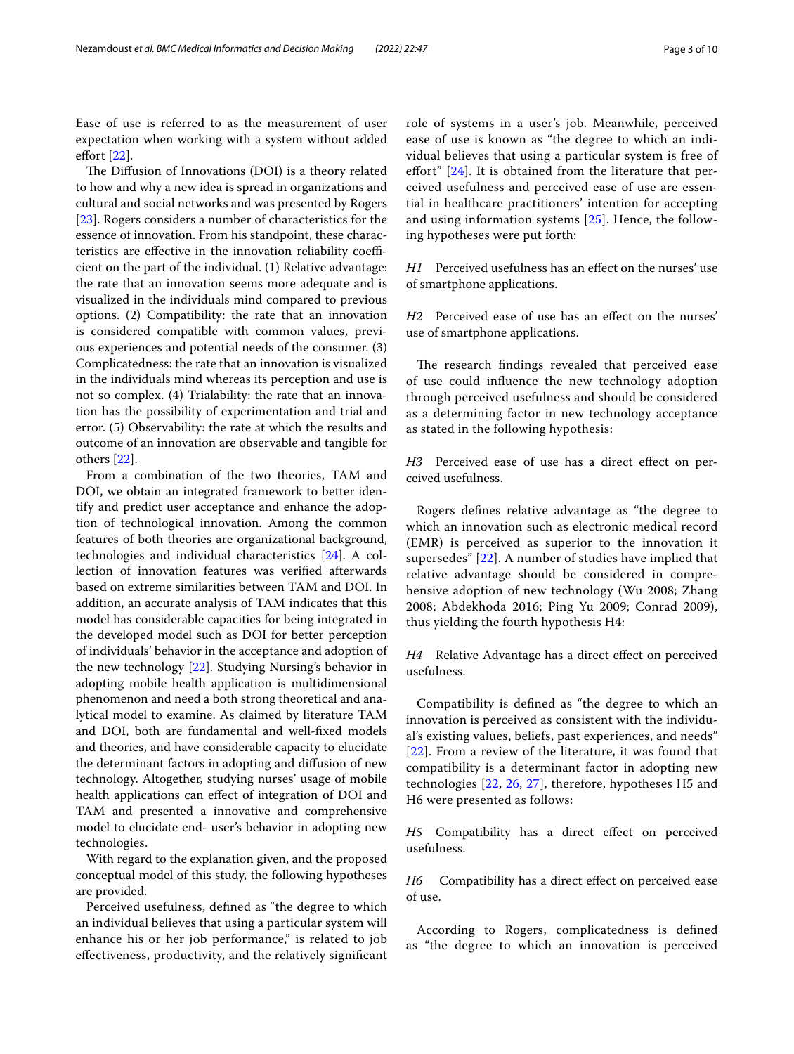Ease of use is referred to as the measurement of user expectation when working with a system without added efort [[22](#page-9-8)].

The Diffusion of Innovations (DOI) is a theory related to how and why a new idea is spread in organizations and cultural and social networks and was presented by Rogers [[23\]](#page-9-9). Rogers considers a number of characteristics for the essence of innovation. From his standpoint, these characteristics are effective in the innovation reliability coefficient on the part of the individual. (1) Relative advantage: the rate that an innovation seems more adequate and is visualized in the individuals mind compared to previous options. (2) Compatibility: the rate that an innovation is considered compatible with common values, previous experiences and potential needs of the consumer. (3) Complicatedness: the rate that an innovation is visualized in the individuals mind whereas its perception and use is not so complex. (4) Trialability: the rate that an innovation has the possibility of experimentation and trial and error. (5) Observability: the rate at which the results and outcome of an innovation are observable and tangible for others [[22\]](#page-9-8).

From a combination of the two theories, TAM and DOI, we obtain an integrated framework to better identify and predict user acceptance and enhance the adoption of technological innovation. Among the common features of both theories are organizational background, technologies and individual characteristics [\[24\]](#page-9-10). A collection of innovation features was verifed afterwards based on extreme similarities between TAM and DOI. In addition, an accurate analysis of TAM indicates that this model has considerable capacities for being integrated in the developed model such as DOI for better perception of individuals' behavior in the acceptance and adoption of the new technology [[22](#page-9-8)]. Studying Nursing's behavior in adopting mobile health application is multidimensional phenomenon and need a both strong theoretical and analytical model to examine. As claimed by literature TAM and DOI, both are fundamental and well-fxed models and theories, and have considerable capacity to elucidate the determinant factors in adopting and difusion of new technology. Altogether, studying nurses' usage of mobile health applications can efect of integration of DOI and TAM and presented a innovative and comprehensive model to elucidate end- user's behavior in adopting new technologies.

With regard to the explanation given, and the proposed conceptual model of this study, the following hypotheses are provided.

Perceived usefulness, defned as "the degree to which an individual believes that using a particular system will enhance his or her job performance," is related to job efectiveness, productivity, and the relatively signifcant role of systems in a user's job. Meanwhile, perceived ease of use is known as "the degree to which an individual believes that using a particular system is free of efort" [\[24](#page-9-10)]. It is obtained from the literature that perceived usefulness and perceived ease of use are essential in healthcare practitioners' intention for accepting and using information systems [\[25\]](#page-9-11). Hence, the following hypotheses were put forth:

*H1* Perceived usefulness has an effect on the nurses' use of smartphone applications.

*H2* Perceived ease of use has an effect on the nurses' use of smartphone applications.

The research findings revealed that perceived ease of use could infuence the new technology adoption through perceived usefulness and should be considered as a determining factor in new technology acceptance as stated in the following hypothesis:

*H3* Perceived ease of use has a direct effect on perceived usefulness.

Rogers defnes relative advantage as "the degree to which an innovation such as electronic medical record (EMR) is perceived as superior to the innovation it supersedes" [\[22](#page-9-8)]. A number of studies have implied that relative advantage should be considered in comprehensive adoption of new technology (Wu 2008; Zhang 2008; Abdekhoda 2016; Ping Yu 2009; Conrad 2009), thus yielding the fourth hypothesis H4:

*H4* Relative Advantage has a direct effect on perceived usefulness.

Compatibility is defned as "the degree to which an innovation is perceived as consistent with the individual's existing values, beliefs, past experiences, and needs" [[22](#page-9-8)]. From a review of the literature, it was found that compatibility is a determinant factor in adopting new technologies [\[22](#page-9-8), [26,](#page-9-12) [27](#page-9-13)], therefore, hypotheses H5 and H6 were presented as follows:

H5 Compatibility has a direct effect on perceived usefulness.

*H6* Compatibility has a direct effect on perceived ease of use.

According to Rogers, complicatedness is defned as "the degree to which an innovation is perceived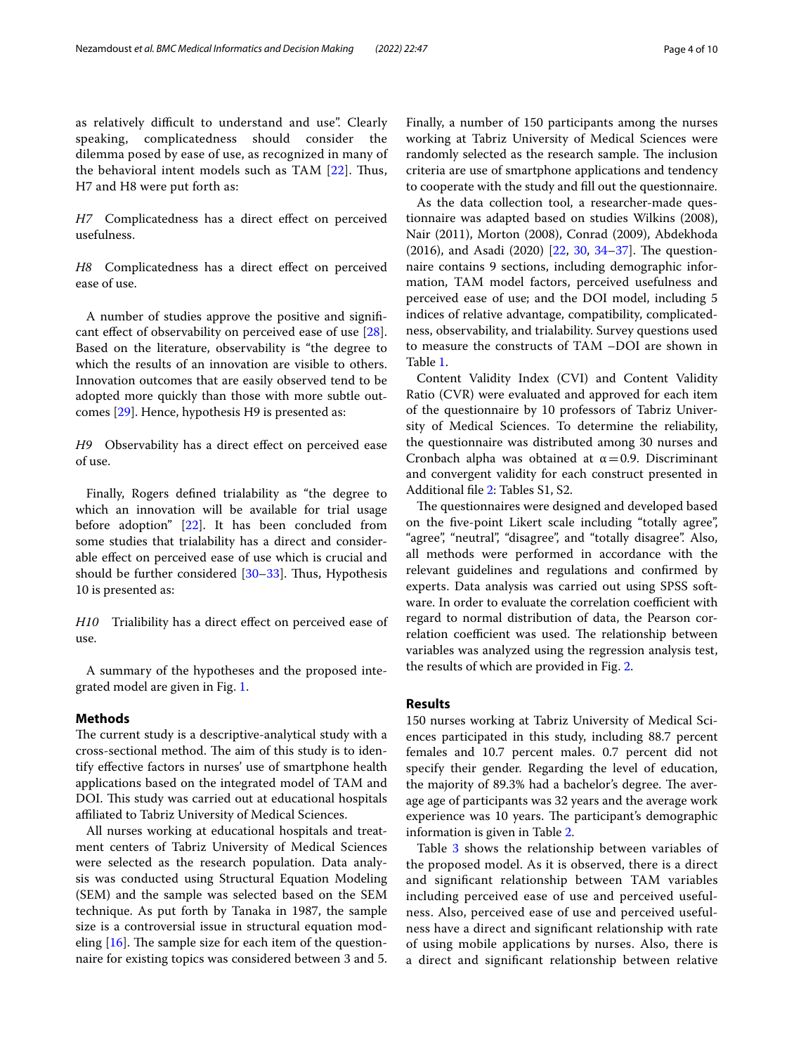as relatively difficult to understand and use". Clearly speaking, complicatedness should consider the dilemma posed by ease of use, as recognized in many of the behavioral intent models such as TAM [\[22](#page-9-8)]. Thus, H7 and H8 were put forth as:

H7 Complicatedness has a direct effect on perceived usefulness.

H8 Complicatedness has a direct effect on perceived ease of use.

A number of studies approve the positive and signifcant efect of observability on perceived ease of use [\[28](#page-9-14)]. Based on the literature, observability is "the degree to which the results of an innovation are visible to others. Innovation outcomes that are easily observed tend to be adopted more quickly than those with more subtle outcomes [\[29](#page-9-15)]. Hence, hypothesis H9 is presented as:

*H9* Observability has a direct effect on perceived ease of use.

Finally, Rogers defned trialability as "the degree to which an innovation will be available for trial usage before adoption" [\[22](#page-9-8)]. It has been concluded from some studies that trialability has a direct and considerable efect on perceived ease of use which is crucial and should be further considered  $[30-33]$  $[30-33]$ . Thus, Hypothesis 10 is presented as:

*H10* Trialibility has a direct efect on perceived ease of use.

A summary of the hypotheses and the proposed integrated model are given in Fig. [1.](#page-4-0)

# **Methods**

The current study is a descriptive-analytical study with a cross-sectional method. The aim of this study is to identify efective factors in nurses' use of smartphone health applications based on the integrated model of TAM and DOI. This study was carried out at educational hospitals affiliated to Tabriz University of Medical Sciences.

All nurses working at educational hospitals and treatment centers of Tabriz University of Medical Sciences were selected as the research population. Data analysis was conducted using Structural Equation Modeling (SEM) and the sample was selected based on the SEM technique. As put forth by Tanaka in 1987, the sample size is a controversial issue in structural equation modeling  $[16]$  $[16]$ . The sample size for each item of the questionnaire for existing topics was considered between 3 and 5. Finally, a number of 150 participants among the nurses working at Tabriz University of Medical Sciences were randomly selected as the research sample. The inclusion criteria are use of smartphone applications and tendency to cooperate with the study and fll out the questionnaire.

As the data collection tool, a researcher-made questionnaire was adapted based on studies Wilkins (2008), Nair (2011), Morton (2008), Conrad (2009), Abdekhoda  $(2016)$ , and Asadi  $(2020)$   $[22, 30, 34-37]$  $[22, 30, 34-37]$  $[22, 30, 34-37]$  $[22, 30, 34-37]$  $[22, 30, 34-37]$  $[22, 30, 34-37]$ . The questionnaire contains 9 sections, including demographic information, TAM model factors, perceived usefulness and perceived ease of use; and the DOI model, including 5 indices of relative advantage, compatibility, complicatedness, observability, and trialability. Survey questions used to measure the constructs of TAM –DOI are shown in Table [1](#page-5-0).

Content Validity Index (CVI) and Content Validity Ratio (CVR) were evaluated and approved for each item of the questionnaire by 10 professors of Tabriz University of Medical Sciences. To determine the reliability, the questionnaire was distributed among 30 nurses and Cronbach alpha was obtained at  $\alpha$  = 0.9. Discriminant and convergent validity for each construct presented in Additional fle [2](#page-8-11): Tables S1, S2.

The questionnaires were designed and developed based on the fve-point Likert scale including "totally agree", "agree", "neutral", "disagree", and "totally disagree". Also, all methods were performed in accordance with the relevant guidelines and regulations and confrmed by experts. Data analysis was carried out using SPSS software. In order to evaluate the correlation coefficient with regard to normal distribution of data, the Pearson correlation coefficient was used. The relationship between variables was analyzed using the regression analysis test, the results of which are provided in Fig. [2](#page-6-0).

# **Results**

150 nurses working at Tabriz University of Medical Sciences participated in this study, including 88.7 percent females and 10.7 percent males. 0.7 percent did not specify their gender. Regarding the level of education, the majority of 89.3% had a bachelor's degree. The average age of participants was 32 years and the average work experience was 10 years. The participant's demographic information is given in Table [2.](#page-7-0)

Table [3](#page-7-1) shows the relationship between variables of the proposed model. As it is observed, there is a direct and signifcant relationship between TAM variables including perceived ease of use and perceived usefulness. Also, perceived ease of use and perceived usefulness have a direct and signifcant relationship with rate of using mobile applications by nurses. Also, there is a direct and signifcant relationship between relative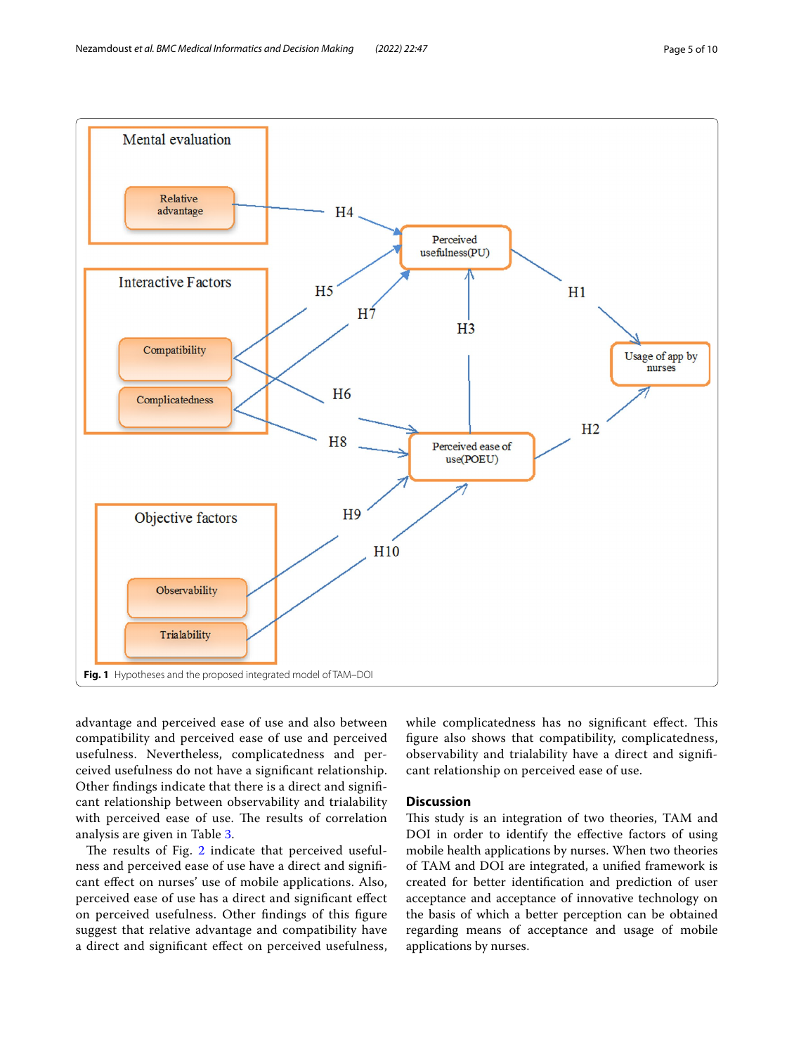

<span id="page-4-0"></span>advantage and perceived ease of use and also between compatibility and perceived ease of use and perceived usefulness. Nevertheless, complicatedness and perceived usefulness do not have a signifcant relationship. Other fndings indicate that there is a direct and signifcant relationship between observability and trialability with perceived ease of use. The results of correlation analysis are given in Table [3.](#page-7-1)

The results of Fig. [2](#page-6-0) indicate that perceived usefulness and perceived ease of use have a direct and signifcant efect on nurses' use of mobile applications. Also, perceived ease of use has a direct and signifcant efect on perceived usefulness. Other fndings of this fgure suggest that relative advantage and compatibility have a direct and signifcant efect on perceived usefulness, while complicatedness has no significant effect. This fgure also shows that compatibility, complicatedness, observability and trialability have a direct and signifcant relationship on perceived ease of use.

# **Discussion**

This study is an integration of two theories, TAM and DOI in order to identify the efective factors of using mobile health applications by nurses. When two theories of TAM and DOI are integrated, a unifed framework is created for better identifcation and prediction of user acceptance and acceptance of innovative technology on the basis of which a better perception can be obtained regarding means of acceptance and usage of mobile applications by nurses.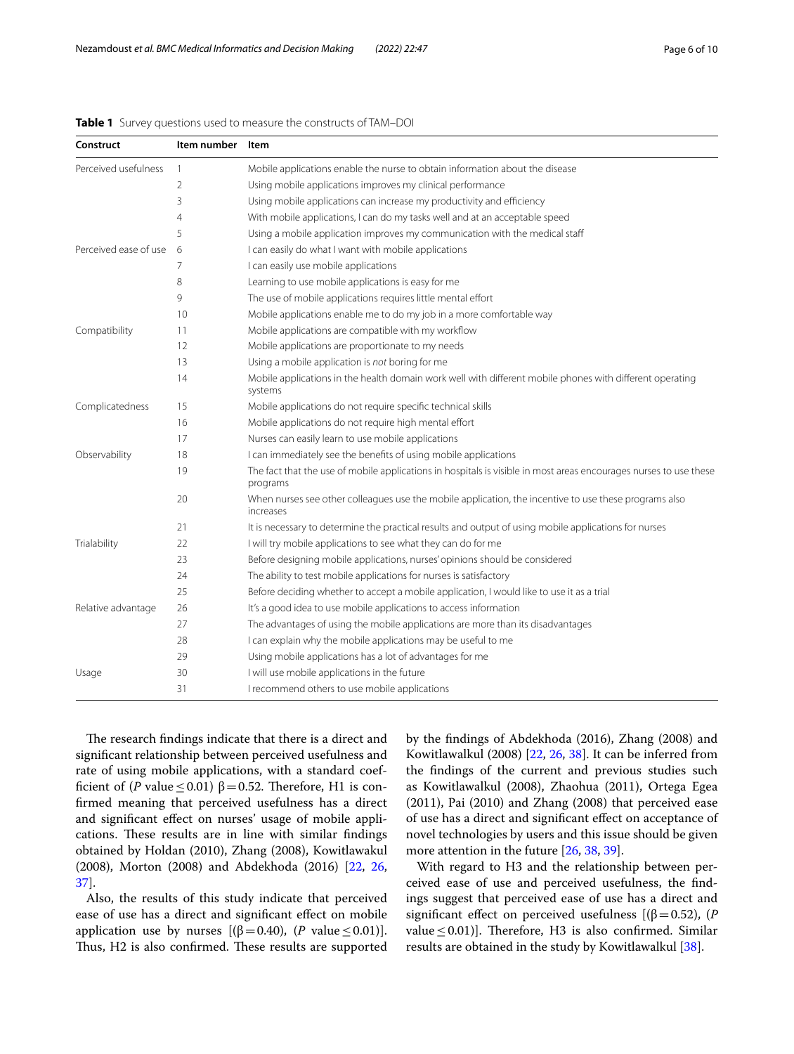| Construct             | Item number    | Item                                                                                                                          |
|-----------------------|----------------|-------------------------------------------------------------------------------------------------------------------------------|
| Perceived usefulness  | 1              | Mobile applications enable the nurse to obtain information about the disease                                                  |
|                       | $\overline{2}$ | Using mobile applications improves my clinical performance                                                                    |
|                       | 3              | Using mobile applications can increase my productivity and efficiency                                                         |
|                       | 4              | With mobile applications, I can do my tasks well and at an acceptable speed                                                   |
|                       | 5              | Using a mobile application improves my communication with the medical staff                                                   |
| Perceived ease of use | 6              | I can easily do what I want with mobile applications                                                                          |
|                       | 7              | I can easily use mobile applications                                                                                          |
|                       | 8              | Learning to use mobile applications is easy for me                                                                            |
|                       | 9              | The use of mobile applications requires little mental effort                                                                  |
|                       | 10             | Mobile applications enable me to do my job in a more comfortable way                                                          |
| Compatibility         | 11             | Mobile applications are compatible with my workflow                                                                           |
|                       | 12             | Mobile applications are proportionate to my needs                                                                             |
|                       | 13             | Using a mobile application is not boring for me                                                                               |
|                       | 14             | Mobile applications in the health domain work well with different mobile phones with different operating<br>systems           |
| Complicatedness       | 15             | Mobile applications do not require specific technical skills                                                                  |
|                       | 16             | Mobile applications do not require high mental effort                                                                         |
|                       | 17             | Nurses can easily learn to use mobile applications                                                                            |
| Observability         | 18             | I can immediately see the benefits of using mobile applications                                                               |
|                       | 19             | The fact that the use of mobile applications in hospitals is visible in most areas encourages nurses to use these<br>programs |
|                       | 20             | When nurses see other colleagues use the mobile application, the incentive to use these programs also<br>increases            |
|                       | 21             | It is necessary to determine the practical results and output of using mobile applications for nurses                         |
| Trialability          | 22             | I will try mobile applications to see what they can do for me                                                                 |
|                       | 23             | Before designing mobile applications, nurses' opinions should be considered                                                   |
|                       | 24             | The ability to test mobile applications for nurses is satisfactory                                                            |
|                       | 25             | Before deciding whether to accept a mobile application, I would like to use it as a trial                                     |
| Relative advantage    | 26             | It's a good idea to use mobile applications to access information                                                             |
|                       | 27             | The advantages of using the mobile applications are more than its disadvantages                                               |
|                       | 28             | I can explain why the mobile applications may be useful to me                                                                 |
|                       | 29             | Using mobile applications has a lot of advantages for me                                                                      |
| Usage                 | 30             | I will use mobile applications in the future                                                                                  |
|                       | 31             | I recommend others to use mobile applications                                                                                 |

<span id="page-5-0"></span>**Table 1** Survey questions used to measure the constructs of TAM–DOI

The research findings indicate that there is a direct and signifcant relationship between perceived usefulness and rate of using mobile applications, with a standard coefficient of (*P* value  $\leq$  0.01)  $\beta$  = 0.52. Therefore, H1 is confrmed meaning that perceived usefulness has a direct and signifcant efect on nurses' usage of mobile applications. These results are in line with similar findings obtained by Holdan (2010), Zhang (2008), Kowitlawakul (2008), Morton (2008) and Abdekhoda (2016) [[22,](#page-9-8) [26](#page-9-12), [37\]](#page-9-19).

Also, the results of this study indicate that perceived ease of use has a direct and signifcant efect on mobile application use by nurses  $[(β=0.40), (P value \le 0.01)].$ Thus, H2 is also confirmed. These results are supported by the fndings of Abdekhoda (2016), Zhang (2008) and Kowitlawalkul (2008) [[22](#page-9-8), [26](#page-9-12), [38\]](#page-9-20). It can be inferred from the fndings of the current and previous studies such as Kowitlawalkul (2008), Zhaohua (2011), Ortega Egea (2011), Pai (2010) and Zhang (2008) that perceived ease of use has a direct and signifcant efect on acceptance of novel technologies by users and this issue should be given more attention in the future [\[26](#page-9-12), [38](#page-9-20), [39\]](#page-9-21).

With regard to H3 and the relationship between perceived ease of use and perceived usefulness, the fndings suggest that perceived ease of use has a direct and significant effect on perceived usefulness  $[(\beta = 0.52), (P$ value  $\leq$  0.01)]. Therefore, H3 is also confirmed. Similar results are obtained in the study by Kowitlawalkul [\[38](#page-9-20)].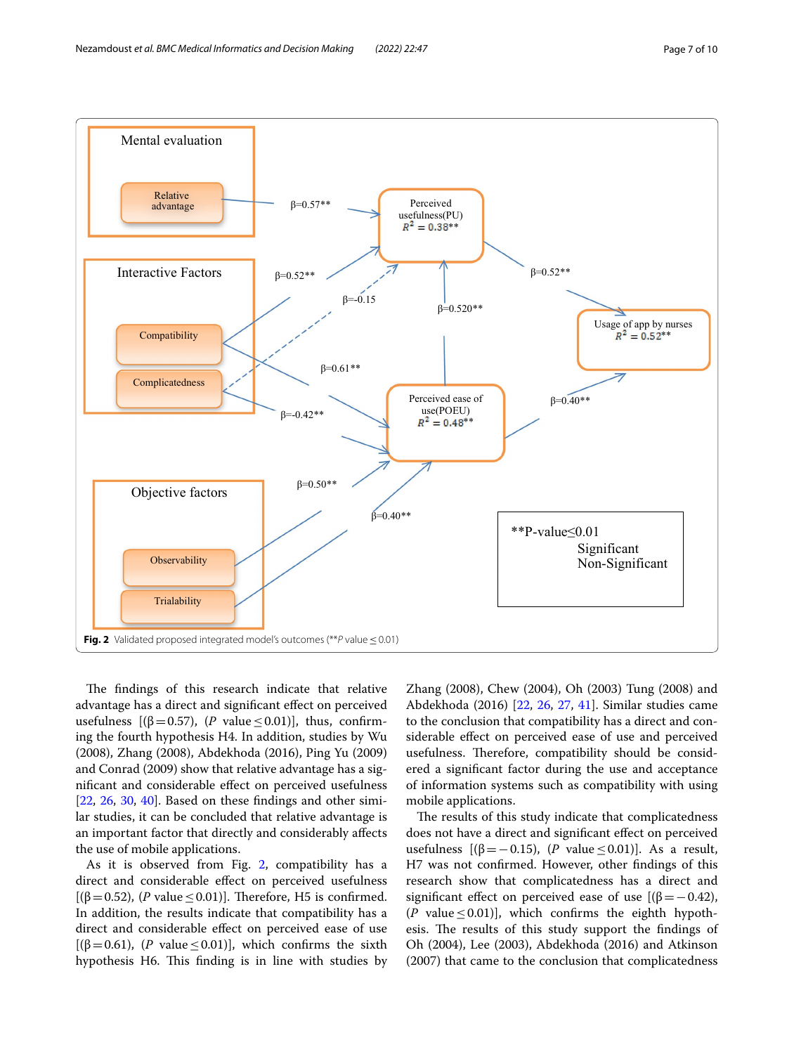

<span id="page-6-0"></span>The findings of this research indicate that relative advantage has a direct and signifcant efect on perceived usefulness  $[(\beta = 0.57), (P \text{ value} \le 0.01)],$  thus, confirming the fourth hypothesis H4. In addition, studies by Wu (2008), Zhang (2008), Abdekhoda (2016), Ping Yu (2009) and Conrad (2009) show that relative advantage has a signifcant and considerable efect on perceived usefulness  $[22, 26, 30, 40]$  $[22, 26, 30, 40]$  $[22, 26, 30, 40]$  $[22, 26, 30, 40]$  $[22, 26, 30, 40]$  $[22, 26, 30, 40]$  $[22, 26, 30, 40]$  $[22, 26, 30, 40]$ . Based on these findings and other similar studies, it can be concluded that relative advantage is an important factor that directly and considerably afects the use of mobile applications.

As it is observed from Fig. [2](#page-6-0), compatibility has a direct and considerable efect on perceived usefulness [( $\beta$ =0.52), (*P* value ≤0.01)]. Therefore, H5 is confirmed. In addition, the results indicate that compatibility has a direct and considerable effect on perceived ease of use [( $\beta$ =0.61), (*P* value ≤0.01)], which confirms the sixth hypothesis H6. This finding is in line with studies by

Zhang (2008), Chew (2004), Oh (2003) Tung (2008) and Abdekhoda (2016) [[22,](#page-9-8) [26](#page-9-12), [27](#page-9-13), [41\]](#page-9-23). Similar studies came to the conclusion that compatibility has a direct and considerable efect on perceived ease of use and perceived usefulness. Therefore, compatibility should be considered a signifcant factor during the use and acceptance of information systems such as compatibility with using mobile applications.

The results of this study indicate that complicatedness does not have a direct and signifcant efect on perceived usefulness [(β = − 0.15), (*P* value ≤ 0.01)]. As a result, H7 was not confrmed. However, other fndings of this research show that complicatedness has a direct and significant effect on perceived ease of use  $[(\beta = -0.42)]$ ,  $(P$  value  $\leq$  0.01)], which confirms the eighth hypothesis. The results of this study support the findings of Oh (2004), Lee (2003), Abdekhoda (2016) and Atkinson (2007) that came to the conclusion that complicatedness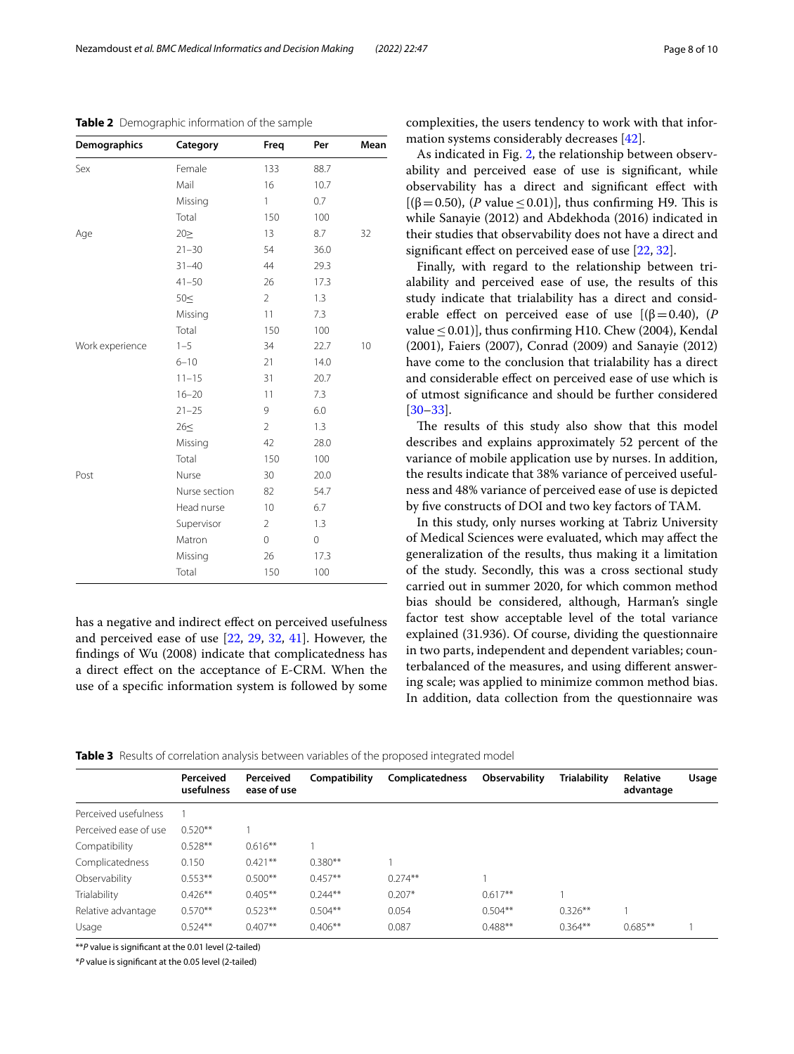| Page 8 of 10 |  |  |
|--------------|--|--|
|--------------|--|--|

| <b>Demographics</b> | Category      | Freq           | Per  | Mean |
|---------------------|---------------|----------------|------|------|
| Sex                 | Female        | 133            | 88.7 |      |
|                     | Mail          | 16             | 10.7 |      |
|                     | Missing       | 1              | 0.7  |      |
|                     | Total         | 150            | 100  |      |
| Age                 | 202           | 13             | 8.7  | 32   |
|                     | $21 - 30$     | 54             | 36.0 |      |
|                     | $31 - 40$     | 44             | 29.3 |      |
|                     | $41 - 50$     | 26             | 17.3 |      |
|                     | 50<           | $\overline{2}$ | 1.3  |      |
|                     | Missing       | 11             | 7.3  |      |
|                     | Total         | 150            | 100  |      |
| Work experience     | $1 - 5$       | 34             | 22.7 | 10   |
|                     | $6 - 10$      | 21             | 14.0 |      |
|                     | $11 - 15$     | 31             | 20.7 |      |
|                     | $16 - 20$     | 11             | 7.3  |      |
|                     | $21 - 25$     | 9              | 6.0  |      |
|                     | 26<           | $\overline{2}$ | 1.3  |      |
|                     | Missing       | 42             | 28.0 |      |
|                     | Total         | 150            | 100  |      |
| Post                | Nurse         | 30             | 20.0 |      |
|                     | Nurse section | 82             | 54.7 |      |
|                     | Head nurse    | 10             | 6.7  |      |
|                     | Supervisor    | $\overline{2}$ | 1.3  |      |
|                     | Matron        | $\mathbf 0$    | 0    |      |
|                     | Missing       | 26             | 17.3 |      |
|                     | Total         | 150            | 100  |      |

<span id="page-7-0"></span>**Table 2** Demographic information of the sample

has a negative and indirect efect on perceived usefulness and perceived ease of use [[22](#page-9-8), [29,](#page-9-15) [32](#page-9-24), [41\]](#page-9-23). However, the fndings of Wu (2008) indicate that complicatedness has a direct efect on the acceptance of E-CRM. When the use of a specifc information system is followed by some complexities, the users tendency to work with that information systems considerably decreases [[42\]](#page-9-25).

As indicated in Fig. [2](#page-6-0), the relationship between observability and perceived ease of use is signifcant, while observability has a direct and signifcant efect with [( $\beta$  = 0.50), (*P* value ≤ 0.01)], thus confirming H9. This is while Sanayie (2012) and Abdekhoda (2016) indicated in their studies that observability does not have a direct and signifcant efect on perceived ease of use [\[22,](#page-9-8) [32](#page-9-24)].

Finally, with regard to the relationship between trialability and perceived ease of use, the results of this study indicate that trialability has a direct and considerable effect on perceived ease of use  $[(\beta = 0.40), (P$ value  $\leq$  0.01)], thus confirming H10. Chew (2004), Kendal (2001), Faiers (2007), Conrad (2009) and Sanayie (2012) have come to the conclusion that trialability has a direct and considerable efect on perceived ease of use which is of utmost signifcance and should be further considered [[30–](#page-9-16)[33\]](#page-9-17).

The results of this study also show that this model describes and explains approximately 52 percent of the variance of mobile application use by nurses. In addition, the results indicate that 38% variance of perceived usefulness and 48% variance of perceived ease of use is depicted by five constructs of DOI and two key factors of TAM.

In this study, only nurses working at Tabriz University of Medical Sciences were evaluated, which may afect the generalization of the results, thus making it a limitation of the study. Secondly, this was a cross sectional study carried out in summer 2020, for which common method bias should be considered, although, Harman's single factor test show acceptable level of the total variance explained (31.936). Of course, dividing the questionnaire in two parts, independent and dependent variables; counterbalanced of the measures, and using diferent answering scale; was applied to minimize common method bias. In addition, data collection from the questionnaire was

<span id="page-7-1"></span>

|  |  | Table 3 Results of correlation analysis between variables of the proposed integrated model |  |  |  |  |  |  |  |
|--|--|--------------------------------------------------------------------------------------------|--|--|--|--|--|--|--|
|--|--|--------------------------------------------------------------------------------------------|--|--|--|--|--|--|--|

|                       | Perceived<br>usefulness | Perceived<br>ease of use | Compatibility | <b>Complicatedness</b> | Observability | <b>Trialability</b> | Relative<br>advantage | Usage |
|-----------------------|-------------------------|--------------------------|---------------|------------------------|---------------|---------------------|-----------------------|-------|
| Perceived usefulness  |                         |                          |               |                        |               |                     |                       |       |
| Perceived ease of use | $0.520**$               |                          |               |                        |               |                     |                       |       |
| Compatibility         | $0.528**$               | $0.616**$                |               |                        |               |                     |                       |       |
| Complicatedness       | 0.150                   | $0.421***$               | $0.380**$     |                        |               |                     |                       |       |
| Observability         | $0.553**$               | $0.500**$                | $0.457**$     | $0.274**$              |               |                     |                       |       |
| Trialability          | $0.426**$               | $0.405**$                | $0.244**$     | $0.207*$               | $0.617**$     |                     |                       |       |
| Relative advantage    | $0.570**$               | $0.523**$                | $0.504**$     | 0.054                  | $0.504**$     | $0.326**$           |                       |       |
| Usage                 | $0.524**$               | $0.407**$                | $0.406**$     | 0.087                  | $0.488**$     | $0.364**$           | $0.685**$             |       |

\*\**P* value is signifcant at the 0.01 level (2-tailed)

\**P* value is signifcant at the 0.05 level (2-tailed)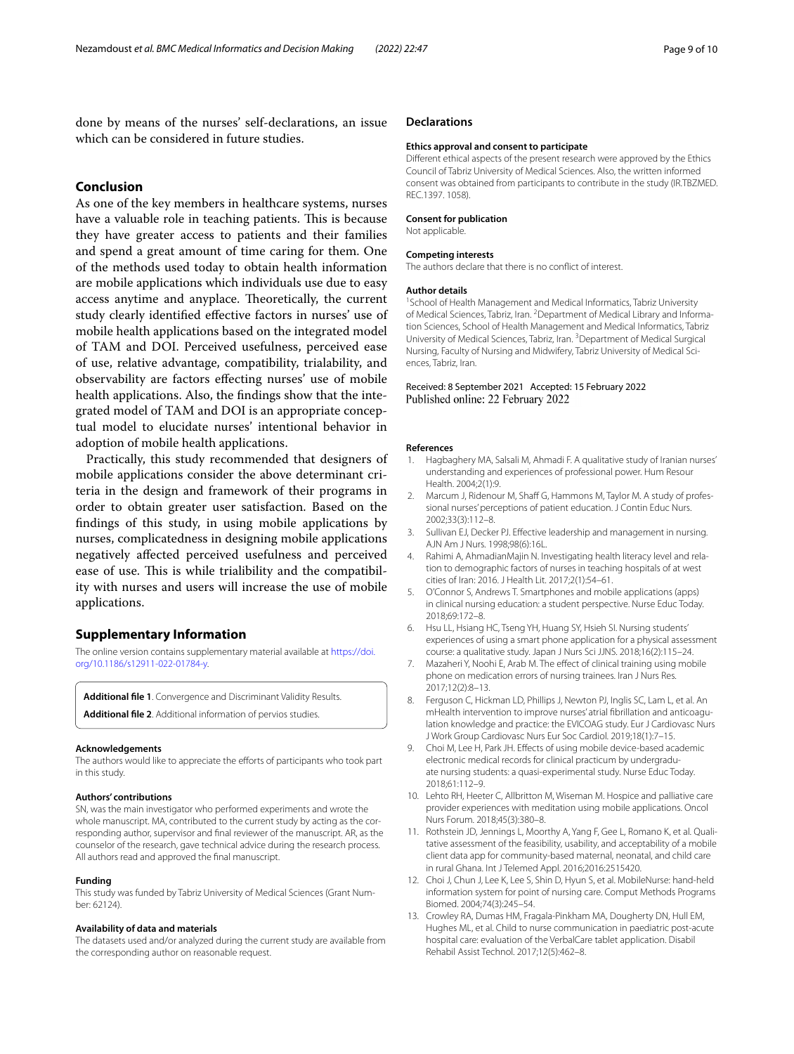done by means of the nurses' self-declarations, an issue which can be considered in future studies.

# **Conclusion**

As one of the key members in healthcare systems, nurses have a valuable role in teaching patients. This is because they have greater access to patients and their families and spend a great amount of time caring for them. One of the methods used today to obtain health information are mobile applications which individuals use due to easy access anytime and anyplace. Theoretically, the current study clearly identifed efective factors in nurses' use of mobile health applications based on the integrated model of TAM and DOI. Perceived usefulness, perceived ease of use, relative advantage, compatibility, trialability, and observability are factors efecting nurses' use of mobile health applications. Also, the fndings show that the integrated model of TAM and DOI is an appropriate conceptual model to elucidate nurses' intentional behavior in adoption of mobile health applications.

Practically, this study recommended that designers of mobile applications consider the above determinant criteria in the design and framework of their programs in order to obtain greater user satisfaction. Based on the fndings of this study, in using mobile applications by nurses, complicatedness in designing mobile applications negatively afected perceived usefulness and perceived ease of use. This is while trialibility and the compatibility with nurses and users will increase the use of mobile applications.

# **Supplementary Information**

The online version contains supplementary material available at [https://doi.](https://doi.org/10.1186/s12911-022-01784-y) [org/10.1186/s12911-022-01784-y.](https://doi.org/10.1186/s12911-022-01784-y)

<span id="page-8-11"></span><span id="page-8-7"></span>**Additional fle 1**. Convergence and Discriminant Validity Results. **Additional fle 2**. Additional information of pervios studies.

#### **Acknowledgements**

The authors would like to appreciate the efforts of participants who took part in this study.

#### **Authors' contributions**

SN, was the main investigator who performed experiments and wrote the whole manuscript. MA, contributed to the current study by acting as the corresponding author, supervisor and fnal reviewer of the manuscript. AR, as the counselor of the research, gave technical advice during the research process. All authors read and approved the fnal manuscript.

#### **Funding**

This study was funded by Tabriz University of Medical Sciences (Grant Number: 62124).

#### **Availability of data and materials**

The datasets used and/or analyzed during the current study are available from the corresponding author on reasonable request.

## **Declarations**

#### **Ethics approval and consent to participate**

Diferent ethical aspects of the present research were approved by the Ethics Council of Tabriz University of Medical Sciences. Also, the written informed consent was obtained from participants to contribute in the study (IR.TBZMED. REC.1397. 1058).

# **Consent for publication**

Not applicable.

#### **Competing interests**

The authors declare that there is no confict of interest.

#### **Author details**

<sup>1</sup> School of Health Management and Medical Informatics, Tabriz University of Medical Sciences, Tabriz, Iran. <sup>2</sup> Department of Medical Library and Information Sciences, School of Health Management and Medical Informatics, Tabriz University of Medical Sciences, Tabriz, Iran. <sup>3</sup> Department of Medical Surgical Nursing, Faculty of Nursing and Midwifery, Tabriz University of Medical Sciences, Tabriz, Iran.

## Received: 8 September 2021 Accepted: 15 February 2022 Published online: 22 February 2022

#### **References**

- <span id="page-8-0"></span>1. Hagbaghery MA, Salsali M, Ahmadi F. A qualitative study of Iranian nurses' understanding and experiences of professional power. Hum Resour Health. 2004;2(1):9.
- <span id="page-8-1"></span>2. Marcum J, Ridenour M, Shaff G, Hammons M, Taylor M. A study of professional nurses' perceptions of patient education. J Contin Educ Nurs. 2002;33(3):112–8.
- <span id="page-8-2"></span>3. Sullivan EJ, Decker PJ. Efective leadership and management in nursing. AJN Am J Nurs. 1998;98(6):16L.
- <span id="page-8-3"></span>4. Rahimi A, AhmadianMajin N. Investigating health literacy level and relation to demographic factors of nurses in teaching hospitals of at west cities of Iran: 2016. J Health Lit. 2017;2(1):54–61.
- <span id="page-8-4"></span>5. O'Connor S, Andrews T. Smartphones and mobile applications (apps) in clinical nursing education: a student perspective. Nurse Educ Today. 2018;69:172–8.
- <span id="page-8-5"></span>6. Hsu LL, Hsiang HC, Tseng YH, Huang SY, Hsieh SI. Nursing students' experiences of using a smart phone application for a physical assessment course: a qualitative study. Japan J Nurs Sci JJNS. 2018;16(2):115–24.
- <span id="page-8-6"></span>7. Mazaheri Y, Noohi E, Arab M. The effect of clinical training using mobile phone on medication errors of nursing trainees. Iran J Nurs Res. 2017;12(2):8–13.
- <span id="page-8-8"></span>8. Ferguson C, Hickman LD, Phillips J, Newton PJ, Inglis SC, Lam L, et al. An mHealth intervention to improve nurses' atrial fbrillation and anticoagulation knowledge and practice: the EVICOAG study. Eur J Cardiovasc Nurs J Work Group Cardiovasc Nurs Eur Soc Cardiol. 2019;18(1):7–15.
- 9. Choi M, Lee H, Park JH. Effects of using mobile device-based academic electronic medical records for clinical practicum by undergraduate nursing students: a quasi-experimental study. Nurse Educ Today. 2018;61:112–9.
- <span id="page-8-10"></span>10. Lehto RH, Heeter C, Allbritton M, Wiseman M. Hospice and palliative care provider experiences with meditation using mobile applications. Oncol Nurs Forum. 2018;45(3):380–8.
- 11. Rothstein JD, Jennings L, Moorthy A, Yang F, Gee L, Romano K, et al. Qualitative assessment of the feasibility, usability, and acceptability of a mobile client data app for community-based maternal, neonatal, and child care in rural Ghana. Int J Telemed Appl. 2016;2016:2515420.
- 12. Choi J, Chun J, Lee K, Lee S, Shin D, Hyun S, et al. MobileNurse: hand-held information system for point of nursing care. Comput Methods Programs Biomed. 2004;74(3):245–54.
- <span id="page-8-9"></span>13. Crowley RA, Dumas HM, Fragala-Pinkham MA, Dougherty DN, Hull EM, Hughes ML, et al. Child to nurse communication in paediatric post-acute hospital care: evaluation of the VerbalCare tablet application. Disabil Rehabil Assist Technol. 2017;12(5):462–8.